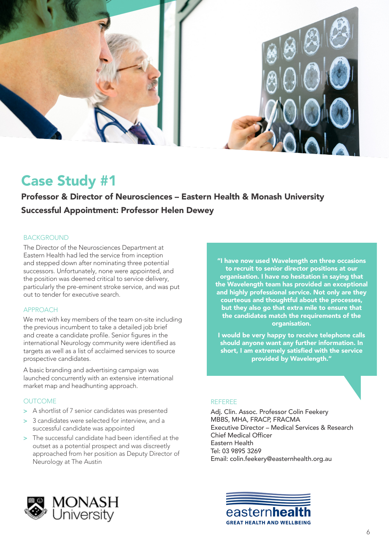

# Case Study #1

Professor & Director of Neurosciences – Eastern Health & Monash University

## Successful Appointment: Professor Helen Dewey

### BACKGROUND

The Director of the Neurosciences Department at Eastern Health had led the service from inception and stepped down after nominating three potential successors. Unfortunately, none were appointed, and the position was deemed critical to service delivery, particularly the pre-eminent stroke service, and was put out to tender for executive search.

### APPROACH

We met with key members of the team on-site including the previous incumbent to take a detailed job brief and create a candidate profile. Senior figures in the international Neurology community were identified as targets as well as a list of acclaimed services to source prospective candidates.

A basic branding and advertising campaign was launched concurrently with an extensive international market map and headhunting approach.

### **OUTCOME**

- > A shortlist of 7 senior candidates was presented
- > 3 candidates were selected for interview, and a successful candidate was appointed
- > The successful candidate had been identified at the outset as a potential prospect and was discreetly approached from her position as Deputy Director of Neurology at The Austin

"I have now used Wavelength on three occasions to recruit to senior director positions at our organisation. I have no hesitation in saying that the Wavelength team has provided an exceptional and highly professional service. Not only are they courteous and thoughtful about the processes, but they also go that extra mile to ensure that the candidates match the requirements of the organisation.

I would be very happy to receive telephone calls should anyone want any further information. In short, I am extremely satisfied with the service provided by Wavelength."

### REFEREE

Adj. Clin. Assoc. Professor Colin Feekery MBBS, MHA, FRACP, FRACMA Executive Director – Medical Services & Research Chief Medical Officer Eastern Health Tel: 03 9895 3269 Email: colin.feekery@easternhealth.org.au